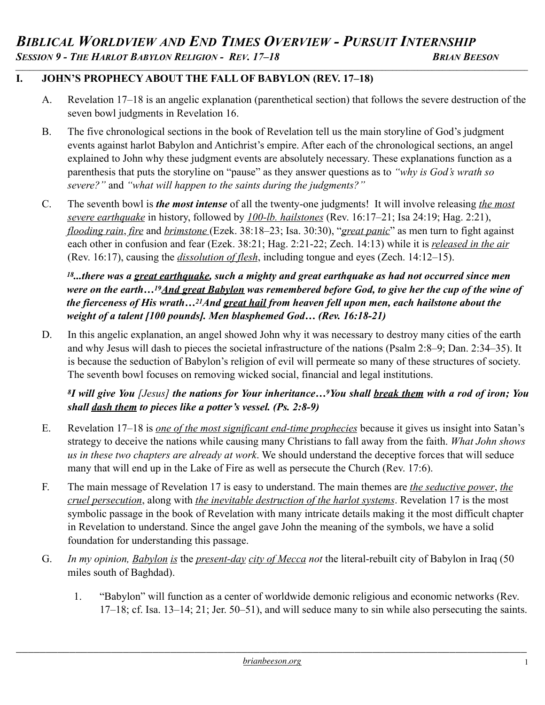### **I. JOHN'S PROPHECY ABOUT THE FALL OF BABYLON (REV. 17–18)**

A. Revelation 17–18 is an angelic explanation (parenthetical section) that follows the severe destruction of the seven bowl judgments in Revelation 16.

*\_\_\_\_\_\_\_\_\_\_\_\_\_\_\_\_\_\_\_\_\_\_\_\_\_\_\_\_\_\_\_\_\_\_\_\_\_\_\_\_\_\_\_\_\_\_\_\_\_\_\_\_\_\_\_\_\_\_\_\_\_\_\_\_\_\_\_\_\_\_\_\_\_\_\_\_\_\_\_\_\_\_\_\_\_\_\_\_\_\_\_\_\_\_\_\_\_\_\_\_\_\_\_\_\_\_\_\_\_\_\_\_\_\_\_\_\_\_\_\_\_\_\_\_\_\_\_\_\_\_\_\_\_\_\_\_\_\_\_\_\_\_\_\_*

- B. The five chronological sections in the book of Revelation tell us the main storyline of God's judgment events against harlot Babylon and Antichrist's empire. After each of the chronological sections, an angel explained to John why these judgment events are absolutely necessary. These explanations function as a parenthesis that puts the storyline on "pause" as they answer questions as to *"why is God's wrath so severe?"* and *"what will happen to the saints during the judgments?"*
- C. The seventh bowl is *the most intense* of all the twenty-one judgments! It will involve releasing *the most severe earthquake* in history, followed by *100-lb. hailstones* (Rev. 16:17–21; Isa 24:19; Hag. 2:21), *flooding rain*, *fire* and *brimstone* (Ezek. 38:18–23; Isa. 30:30), "*great panic*" as men turn to fight against each other in confusion and fear (Ezek. 38:21; Hag. 2:21-22; Zech. 14:13) while it is *released in the air* (Rev. 16:17), causing the *dissolution of flesh*, including tongue and eyes (Zech. 14:12–15).

*18...there was a great earthquake, such a mighty and great earthquake as had not occurred since men*  were on the earth...<sup>19</sup>And great Babylon was remembered before God, to give her the cup of the wine of *the fierceness of His wrath…21And great hail from heaven fell upon men, each hailstone about the weight of a talent [100 pounds]. Men blasphemed God… (Rev. 16:18-21)* 

D. In this angelic explanation, an angel showed John why it was necessary to destroy many cities of the earth and why Jesus will dash to pieces the societal infrastructure of the nations (Psalm 2:8–9; Dan. 2:34–35). It is because the seduction of Babylon's religion of evil will permeate so many of these structures of society. The seventh bowl focuses on removing wicked social, financial and legal institutions.

*8I will give You [Jesus] the nations for Your inheritance…9You shall break them with a rod of iron; You shall dash them to pieces like a potter's vessel. (Ps. 2:8-9)* 

- E. Revelation 17–18 is *one of the most significant end-time prophecies* because it gives us insight into Satan's strategy to deceive the nations while causing many Christians to fall away from the faith. *What John shows us in these two chapters are already at work*. We should understand the deceptive forces that will seduce many that will end up in the Lake of Fire as well as persecute the Church (Rev. 17:6).
- F. The main message of Revelation 17 is easy to understand. The main themes are *the seductive power*, *the cruel persecution*, along with *the inevitable destruction of the harlot systems*. Revelation 17 is the most symbolic passage in the book of Revelation with many intricate details making it the most difficult chapter in Revelation to understand. Since the angel gave John the meaning of the symbols, we have a solid foundation for understanding this passage.
- G. *In my opinion, Babylon is* the *present-day city of Mecca not* the literal-rebuilt city of Babylon in Iraq (50 miles south of Baghdad).
	- 1. "Babylon" will function as a center of worldwide demonic religious and economic networks (Rev. 17–18; cf. Isa. 13–14; 21; Jer. 50–51), and will seduce many to sin while also persecuting the saints.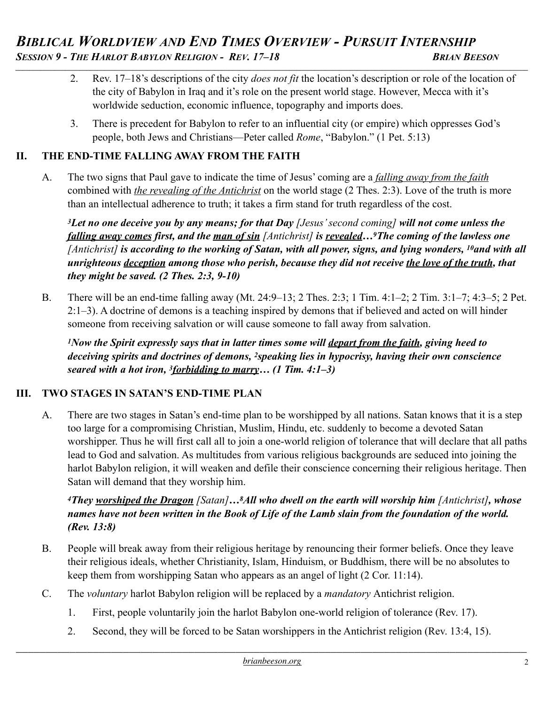# *BIBLICAL WORLDVIEW AND END TIMES OVERVIEW - PURSUIT INTERNSHIP*<br>Session 9 - The Harlot Babylon Religion - Rev. 17–18 BRIAN BEESON *\_\_\_\_\_\_\_\_\_\_\_\_\_\_\_\_\_\_\_\_\_\_\_\_\_\_\_\_\_\_\_\_\_\_\_\_\_\_\_\_\_\_\_\_\_\_\_\_\_\_\_\_\_\_\_\_\_\_\_\_\_\_\_\_\_\_\_\_\_\_\_\_\_\_\_\_\_\_\_\_\_\_\_\_\_\_\_\_\_\_\_\_\_\_\_\_\_\_\_\_\_\_\_\_\_\_\_\_\_\_\_\_\_\_\_\_\_\_\_\_\_\_\_\_\_\_\_\_\_\_\_\_\_\_\_\_\_\_\_\_\_\_\_\_*

- 2. Rev. 17–18's descriptions of the city *does not fit* the location's description or role of the location of the city of Babylon in Iraq and it's role on the present world stage. However, Mecca with it's worldwide seduction, economic influence, topography and imports does.
- 3. There is precedent for Babylon to refer to an influential city (or empire) which oppresses God's people, both Jews and Christians—Peter called *Rome*, "Babylon." (1 Pet. 5:13)

### **II. THE END-TIME FALLING AWAY FROM THE FAITH**

A. The two signs that Paul gave to indicate the time of Jesus' coming are a *falling away from the faith* combined with *the revealing of the Antichrist* on the world stage (2 Thes. 2:3). Love of the truth is more than an intellectual adherence to truth; it takes a firm stand for truth regardless of the cost.

*3Let no one deceive you by any means; for that Day [Jesus' second coming] will not come unless the falling away comes first, and the man of sin [Antichrist] is revealed…9The coming of the lawless one [Antichrist] is according to the working of Satan, with all power, signs, and lying wonders, 10and with all unrighteous deception among those who perish, because they did not receive the love of the truth, that they might be saved. (2 Thes. 2:3, 9-10)* 

B. There will be an end-time falling away (Mt. 24:9–13; 2 Thes. 2:3; 1 Tim. 4:1–2; 2 Tim. 3:1–7; 4:3–5; 2 Pet. 2:1–3). A doctrine of demons is a teaching inspired by demons that if believed and acted on will hinder someone from receiving salvation or will cause someone to fall away from salvation.

*1Now the Spirit expressly says that in latter times some will depart from the faith, giving heed to deceiving spirits and doctrines of demons, 2speaking lies in hypocrisy, having their own conscience seared with a hot iron, 3forbidding to marry… (1 Tim. 4:1–3)* 

#### **III. TWO STAGES IN SATAN'S END-TIME PLAN**

A. There are two stages in Satan's end-time plan to be worshipped by all nations. Satan knows that it is a step too large for a compromising Christian, Muslim, Hindu, etc. suddenly to become a devoted Satan worshipper. Thus he will first call all to join a one-world religion of tolerance that will declare that all paths lead to God and salvation. As multitudes from various religious backgrounds are seduced into joining the harlot Babylon religion, it will weaken and defile their conscience concerning their religious heritage. Then Satan will demand that they worship him.

### *4They worshiped the Dragon [Satan]…8All who dwell on the earth will worship him [Antichrist], whose names have not been written in the Book of Life of the Lamb slain from the foundation of the world. (Rev. 13:8)*

- B. People will break away from their religious heritage by renouncing their former beliefs. Once they leave their religious ideals, whether Christianity, Islam, Hinduism, or Buddhism, there will be no absolutes to keep them from worshipping Satan who appears as an angel of light (2 Cor. 11:14).
- C. The *voluntary* harlot Babylon religion will be replaced by a *mandatory* Antichrist religion.
	- 1. First, people voluntarily join the harlot Babylon one-world religion of tolerance (Rev. 17).
	- 2. Second, they will be forced to be Satan worshippers in the Antichrist religion (Rev. 13:4, 15).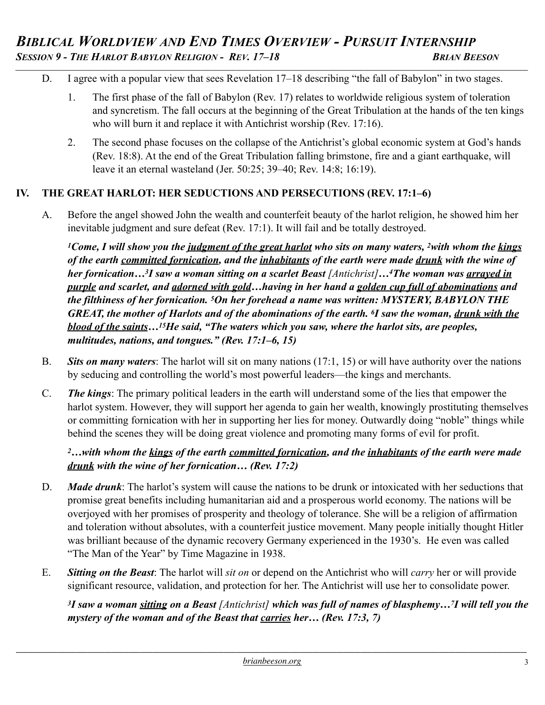- D. I agree with a popular view that sees Revelation 17–18 describing "the fall of Babylon" in two stages.
	- 1. The first phase of the fall of Babylon (Rev. 17) relates to worldwide religious system of toleration and syncretism. The fall occurs at the beginning of the Great Tribulation at the hands of the ten kings who will burn it and replace it with Antichrist worship (Rev. 17:16).
	- 2. The second phase focuses on the collapse of the Antichrist's global economic system at God's hands (Rev. 18:8). At the end of the Great Tribulation falling brimstone, fire and a giant earthquake, will leave it an eternal wasteland (Jer. 50:25; 39–40; Rev. 14:8; 16:19).

### **IV. THE GREAT HARLOT: HER SEDUCTIONS AND PERSECUTIONS (REV. 17:1–6)**

A. Before the angel showed John the wealth and counterfeit beauty of the harlot religion, he showed him her inevitable judgment and sure defeat (Rev. 17:1). It will fail and be totally destroyed.

*1Come, I will show you the judgment of the great harlot who sits on many waters, 2with whom the kings of the earth committed fornication, and the inhabitants of the earth were made drunk with the wine of her fornication…<sup>3</sup>I saw a woman sitting on a scarlet Beast [Antichrist]...<sup>4</sup>The woman was <u>arrayed in</u> purple and scarlet, and adorned with gold…having in her hand a golden cup full of abominations and the filthiness of her fornication. 5On her forehead a name was written: MYSTERY, BABYLON THE GREAT, the mother of Harlots and of the abominations of the earth. 6I saw the woman, drunk with the blood of the saints…15He said, "The waters which you saw, where the harlot sits, are peoples, multitudes, nations, and tongues." (Rev. 17:1–6, 15)* 

- B. *Sits on many waters*: The harlot will sit on many nations (17:1, 15) or will have authority over the nations by seducing and controlling the world's most powerful leaders—the kings and merchants.
- C. *The kings*: The primary political leaders in the earth will understand some of the lies that empower the harlot system. However, they will support her agenda to gain her wealth, knowingly prostituting themselves or committing fornication with her in supporting her lies for money. Outwardly doing "noble" things while behind the scenes they will be doing great violence and promoting many forms of evil for profit.

### *2…with whom the kings of the earth committed fornication, and the inhabitants of the earth were made drunk with the wine of her fornication… (Rev. 17:2)*

- D. *Made drunk*: The harlot's system will cause the nations to be drunk or intoxicated with her seductions that promise great benefits including humanitarian aid and a prosperous world economy. The nations will be overjoyed with her promises of prosperity and theology of tolerance. She will be a religion of affirmation and toleration without absolutes, with a counterfeit justice movement. Many people initially thought Hitler was brilliant because of the dynamic recovery Germany experienced in the 1930's. He even was called "The Man of the Year" by Time Magazine in 1938.
- E. *Sitting on the Beast*: The harlot will *sit on* or depend on the Antichrist who will *carry* her or will provide significant resource, validation, and protection for her. The Antichrist will use her to consolidate power.

*3I saw a woman sitting on a Beast [Antichrist] which was full of names of blasphemy…7I will tell you the mystery of the woman and of the Beast that carries her… (Rev. 17:3, 7)*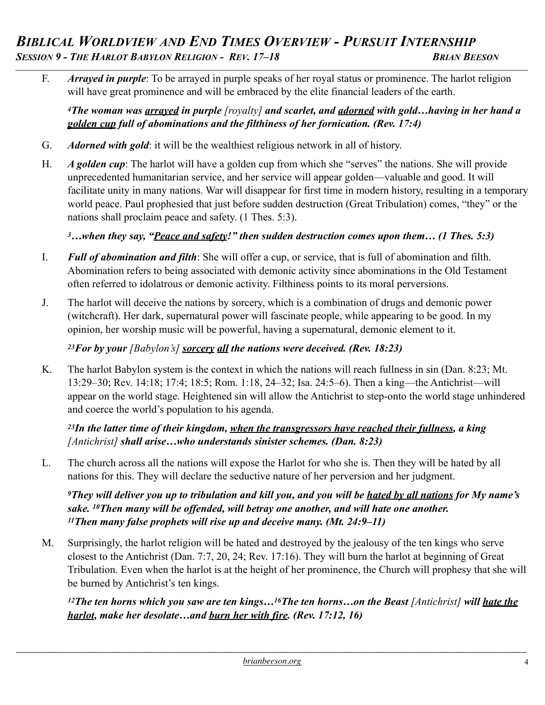# *BIBLICAL WORLDVIEW AND END TIMES OVERVIEW - PURSUIT INTERNSHIP*<br>SESSION 9 - THE HARLOT BABYLON RELIGION - REV. 17–18 BRIAN BEESON *\_\_\_\_\_\_\_\_\_\_\_\_\_\_\_\_\_\_\_\_\_\_\_\_\_\_\_\_\_\_\_\_\_\_\_\_\_\_\_\_\_\_\_\_\_\_\_\_\_\_\_\_\_\_\_\_\_\_\_\_\_\_\_\_\_\_\_\_\_\_\_\_\_\_\_\_\_\_\_\_\_\_\_\_\_\_\_\_\_\_\_\_\_\_\_\_\_\_\_\_\_\_\_\_\_\_\_\_\_\_\_\_\_\_\_\_\_\_\_\_\_\_\_\_\_\_\_\_\_\_\_\_\_\_\_\_\_\_\_\_\_\_\_\_*

F. *Arrayed in purple*: To be arrayed in purple speaks of her royal status or prominence. The harlot religion will have great prominence and will be embraced by the elite financial leaders of the earth.

*4The woman was arrayed in purple [royalty] and scarlet, and adorned with gold…having in her hand a golden cup full of abominations and the filthiness of her fornication. (Rev. 17:4)* 

- G. *Adorned with gold*: it will be the wealthiest religious network in all of history.
- H. *A golden cup*: The harlot will have a golden cup from which she "serves" the nations. She will provide unprecedented humanitarian service, and her service will appear golden—valuable and good. It will facilitate unity in many nations. War will disappear for first time in modern history, resulting in a temporary world peace. Paul prophesied that just before sudden destruction (Great Tribulation) comes, "they" or the nations shall proclaim peace and safety. (1 Thes. 5:3).

*3…when they say, "Peace and safety!" then sudden destruction comes upon them… (1 Thes. 5:3)*

- I. *Full of abomination and filth*: She will offer a cup, or service, that is full of abomination and filth. Abomination refers to being associated with demonic activity since abominations in the Old Testament often referred to idolatrous or demonic activity. Filthiness points to its moral perversions.
- J. The harlot will deceive the nations by sorcery, which is a combination of drugs and demonic power (witchcraft). Her dark, supernatural power will fascinate people, while appearing to be good. In my opinion, her worship music will be powerful, having a supernatural, demonic element to it.

*23For by your [Babylon's] sorcery all the nations were deceived. (Rev. 18:23)* 

K. The harlot Babylon system is the context in which the nations will reach fullness in sin (Dan. 8:23; Mt. 13:29–30; Rev. 14:18; 17:4; 18:5; Rom. 1:18, 24–32; Isa. 24:5–6). Then a king—the Antichrist—will appear on the world stage. Heightened sin will allow the Antichrist to step-onto the world stage unhindered and coerce the world's population to his agenda.

*23In the latter time of their kingdom, when the transgressors have reached their fullness, a king [Antichrist] shall arise…who understands sinister schemes. (Dan. 8:23)*

L. The church across all the nations will expose the Harlot for who she is. Then they will be hated by all nations for this. They will declare the seductive nature of her perversion and her judgment.

*9They will deliver you up to tribulation and kill you, and you will be hated by all nations for My name's sake. 10Then many will be offended, will betray one another, and will hate one another. 11Then many false prophets will rise up and deceive many. (Mt. 24:9–11)* 

M. Surprisingly, the harlot religion will be hated and destroyed by the jealousy of the ten kings who serve closest to the Antichrist (Dan. 7:7, 20, 24; Rev. 17:16). They will burn the harlot at beginning of Great Tribulation. Even when the harlot is at the height of her prominence, the Church will prophesy that she will be burned by Antichrist's ten kings.

*12The ten horns which you saw are ten kings...<sup>16</sup>The ten horns...on the Beast [Antichrist] will hate the harlot, make her desolate…and burn her with fire. (Rev. 17:12, 16)*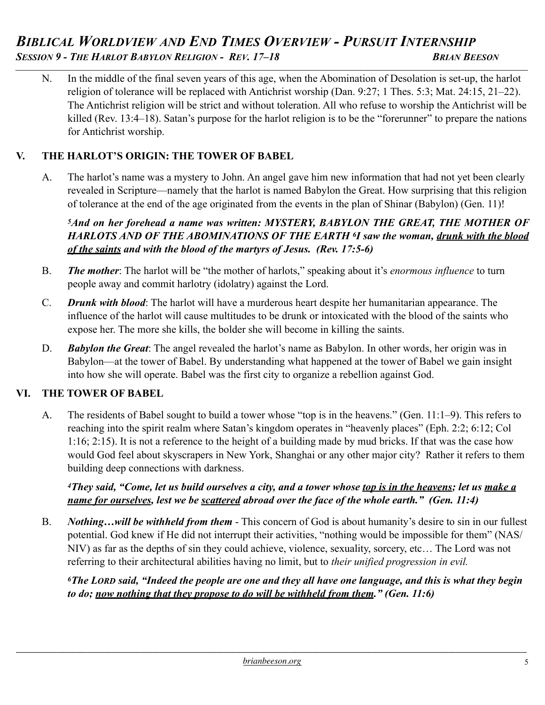# *BIBLICAL WORLDVIEW AND END TIMES OVERVIEW - PURSUIT INTERNSHIP*<br>Session 9 - The Harlot Babylon Religion - Rev. 17–18 BRIAN BEESON *\_\_\_\_\_\_\_\_\_\_\_\_\_\_\_\_\_\_\_\_\_\_\_\_\_\_\_\_\_\_\_\_\_\_\_\_\_\_\_\_\_\_\_\_\_\_\_\_\_\_\_\_\_\_\_\_\_\_\_\_\_\_\_\_\_\_\_\_\_\_\_\_\_\_\_\_\_\_\_\_\_\_\_\_\_\_\_\_\_\_\_\_\_\_\_\_\_\_\_\_\_\_\_\_\_\_\_\_\_\_\_\_\_\_\_\_\_\_\_\_\_\_\_\_\_\_\_\_\_\_\_\_\_\_\_\_\_\_\_\_\_\_\_\_*

N. In the middle of the final seven years of this age, when the Abomination of Desolation is set-up, the harlot religion of tolerance will be replaced with Antichrist worship (Dan. 9:27; 1 Thes. 5:3; Mat. 24:15, 21–22). The Antichrist religion will be strict and without toleration. All who refuse to worship the Antichrist will be killed (Rev. 13:4–18). Satan's purpose for the harlot religion is to be the "forerunner" to prepare the nations for Antichrist worship.

### **V. THE HARLOT'S ORIGIN: THE TOWER OF BABEL**

A. The harlot's name was a mystery to John. An angel gave him new information that had not yet been clearly revealed in Scripture—namely that the harlot is named Babylon the Great. How surprising that this religion of tolerance at the end of the age originated from the events in the plan of Shinar (Babylon) (Gen. 11)!

*5And on her forehead a name was written: MYSTERY, BABYLON THE GREAT, THE MOTHER OF HARLOTS AND OF THE ABOMINATIONS OF THE EARTH 6I saw the woman, drunk with the blood of the saints and with the blood of the martyrs of Jesus. (Rev. 17:5-6)*

- B. *The mother*: The harlot will be "the mother of harlots," speaking about it's *enormous influence* to turn people away and commit harlotry (idolatry) against the Lord.
- C. *Drunk with blood*: The harlot will have a murderous heart despite her humanitarian appearance. The influence of the harlot will cause multitudes to be drunk or intoxicated with the blood of the saints who expose her. The more she kills, the bolder she will become in killing the saints.
- D. *Babylon the Great*: The angel revealed the harlot's name as Babylon. In other words, her origin was in Babylon—at the tower of Babel. By understanding what happened at the tower of Babel we gain insight into how she will operate. Babel was the first city to organize a rebellion against God.

### **VI. THE TOWER OF BABEL**

A. The residents of Babel sought to build a tower whose "top is in the heavens." (Gen. 11:1–9). This refers to reaching into the spirit realm where Satan's kingdom operates in "heavenly places" (Eph. 2:2; 6:12; Col 1:16; 2:15). It is not a reference to the height of a building made by mud bricks. If that was the case how would God feel about skyscrapers in New York, Shanghai or any other major city? Rather it refers to them building deep connections with darkness.

*4They said, "Come, let us build ourselves a city, and a tower whose top is in the heavens; let us make a name for ourselves, lest we be scattered abroad over the face of the whole earth." (Gen. 11:4)* 

B. *Nothing…will be withheld from them* - This concern of God is about humanity's desire to sin in our fullest potential. God knew if He did not interrupt their activities, "nothing would be impossible for them" (NAS/ NIV) as far as the depths of sin they could achieve, violence, sexuality, sorcery, etc… The Lord was not referring to their architectural abilities having no limit, but to *their unified progression in evil.* 

*6The LORD said, "Indeed the people are one and they all have one language, and this is what they begin to do; now nothing that they propose to do will be withheld from them." (Gen. 11:6)*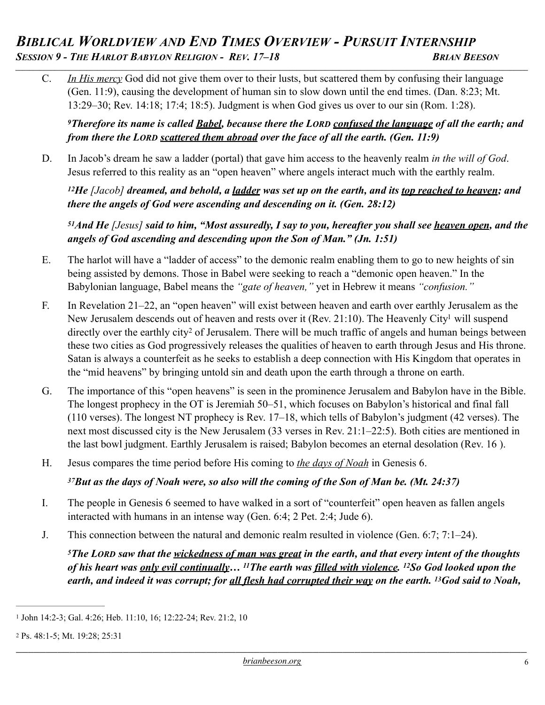# *BIBLICAL WORLDVIEW AND END TIMES OVERVIEW - PURSUIT INTERNSHIP*<br>Session 9 - The Harlot Babylon Religion - Rev. 17–18 BRIAN BEESON *\_\_\_\_\_\_\_\_\_\_\_\_\_\_\_\_\_\_\_\_\_\_\_\_\_\_\_\_\_\_\_\_\_\_\_\_\_\_\_\_\_\_\_\_\_\_\_\_\_\_\_\_\_\_\_\_\_\_\_\_\_\_\_\_\_\_\_\_\_\_\_\_\_\_\_\_\_\_\_\_\_\_\_\_\_\_\_\_\_\_\_\_\_\_\_\_\_\_\_\_\_\_\_\_\_\_\_\_\_\_\_\_\_\_\_\_\_\_\_\_\_\_\_\_\_\_\_\_\_\_\_\_\_\_\_\_\_\_\_\_\_\_\_\_*

C. *In His mercy* God did not give them over to their lusts, but scattered them by confusing their language (Gen. 11:9), causing the development of human sin to slow down until the end times. (Dan. 8:23; Mt. 13:29–30; Rev. 14:18; 17:4; 18:5). Judgment is when God gives us over to our sin (Rom. 1:28).

*9Therefore its name is called Babel, because there the LORD confused the language of all the earth; and from there the LORD scattered them abroad over the face of all the earth. (Gen. 11:9)* 

D. In Jacob's dream he saw a ladder (portal) that gave him access to the heavenly realm *in the will of God*. Jesus referred to this reality as an "open heaven" where angels interact much with the earthly realm.

*12He [Jacob] dreamed, and behold, a ladder was set up on the earth, and its top reached to heaven; and there the angels of God were ascending and descending on it. (Gen. 28:12)* 

<span id="page-5-2"></span>*51And He [Jesus] said to him, "Most assuredly, I say to you, hereafter you shall see heaven open, and the angels of God ascending and descending upon the Son of Man." (Jn. 1:51)*

- E. The harlot will have a "ladder of access" to the demonic realm enabling them to go to new heights of sin being assisted by demons. Those in Babel were seeking to reach a "demonic open heaven." In the Babylonian language, Babel means the *"gate of heaven,"* yet in Hebrew it means *"confusion."*
- <span id="page-5-3"></span>F. In Revelation 21–22, an "open heaven" will exist between heaven and earth over earthly Jerusalem as the New Jerusalem descends out of heaven and rests over it (Rev. 21:10). The Heavenl[y](#page-5-0) City<sup>[1](#page-5-0)</sup> will suspend directlyover the earthly city<sup>[2](#page-5-1)</sup> of Jerusalem. There will be much traffic of angels and human beings between these two cities as God progressively releases the qualities of heaven to earth through Jesus and His throne. Satan is always a counterfeit as he seeks to establish a deep connection with His Kingdom that operates in the "mid heavens" by bringing untold sin and death upon the earth through a throne on earth.
- G. The importance of this "open heavens" is seen in the prominence Jerusalem and Babylon have in the Bible. The longest prophecy in the OT is Jeremiah 50–51, which focuses on Babylon's historical and final fall (110 verses). The longest NT prophecy is Rev. 17–18, which tells of Babylon's judgment (42 verses). The next most discussed city is the New Jerusalem (33 verses in Rev. 21:1–22:5). Both cities are mentioned in the last bowl judgment. Earthly Jerusalem is raised; Babylon becomes an eternal desolation (Rev. 16 ).
- H. Jesus compares the time period before His coming to *the days of Noah* in Genesis 6.

#### *37But as the days of Noah were, so also will the coming of the Son of Man be. (Mt. 24:37)*

- I. The people in Genesis 6 seemed to have walked in a sort of "counterfeit" open heaven as fallen angels interacted with humans in an intense way (Gen. 6:4; 2 Pet. 2:4; Jude 6).
- J. This connection between the natural and demonic realm resulted in violence (Gen. 6:7; 7:1–24).

*5The LORD saw that the wickedness of man was great in the earth, and that every intent of the thoughts of his heart was only evil continually… 11The earth was filled with violence. 12So God looked upon the earth, and indeed it was corrupt; for all flesh had corrupted their way on the earth. 13God said to Noah,* 

<span id="page-5-0"></span>[<sup>1</sup>](#page-5-2) John 14:2-3; Gal. 4:26; Heb. 11:10, 16; 12:22-24; Rev. 21:2, 10

<span id="page-5-1"></span>[<sup>2</sup>](#page-5-3) Ps. 48:1-5; Mt. 19:28; 25:31